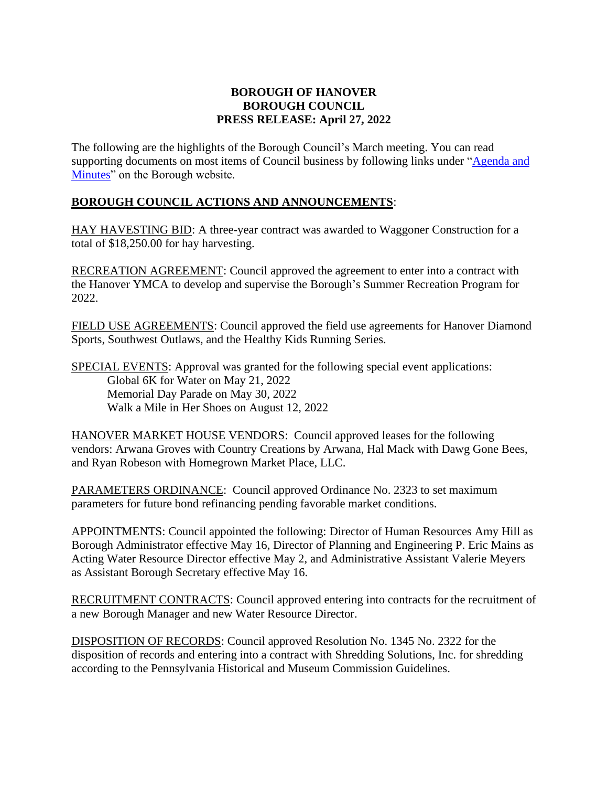## **BOROUGH OF HANOVER BOROUGH COUNCIL PRESS RELEASE: April 27, 2022**

The following are the highlights of the Borough Council's March meeting. You can read supporting documents on most items of Council business by following links under ["Agenda and](https://www.hanoverboroughpa.gov/AgendaCenter)  [Minutes"](https://www.hanoverboroughpa.gov/AgendaCenter) on the Borough website.

## **BOROUGH COUNCIL ACTIONS AND ANNOUNCEMENTS**:

HAY HAVESTING BID: A three-year contract was awarded to Waggoner Construction for a total of \$18,250.00 for hay harvesting.

RECREATION AGREEMENT: Council approved the agreement to enter into a contract with the Hanover YMCA to develop and supervise the Borough's Summer Recreation Program for 2022.

FIELD USE AGREEMENTS: Council approved the field use agreements for Hanover Diamond Sports, Southwest Outlaws, and the Healthy Kids Running Series.

SPECIAL EVENTS: Approval was granted for the following special event applications: Global 6K for Water on May 21, 2022 Memorial Day Parade on May 30, 2022 Walk a Mile in Her Shoes on August 12, 2022

HANOVER MARKET HOUSE VENDORS: Council approved leases for the following vendors: Arwana Groves with Country Creations by Arwana, Hal Mack with Dawg Gone Bees, and Ryan Robeson with Homegrown Market Place, LLC.

PARAMETERS ORDINANCE: Council approved Ordinance No. 2323 to set maximum parameters for future bond refinancing pending favorable market conditions.

APPOINTMENTS: Council appointed the following: Director of Human Resources Amy Hill as Borough Administrator effective May 16, Director of Planning and Engineering P. Eric Mains as Acting Water Resource Director effective May 2, and Administrative Assistant Valerie Meyers as Assistant Borough Secretary effective May 16.

RECRUITMENT CONTRACTS: Council approved entering into contracts for the recruitment of a new Borough Manager and new Water Resource Director.

DISPOSITION OF RECORDS: Council approved Resolution No. 1345 No. 2322 for the disposition of records and entering into a contract with Shredding Solutions, Inc. for shredding according to the Pennsylvania Historical and Museum Commission Guidelines.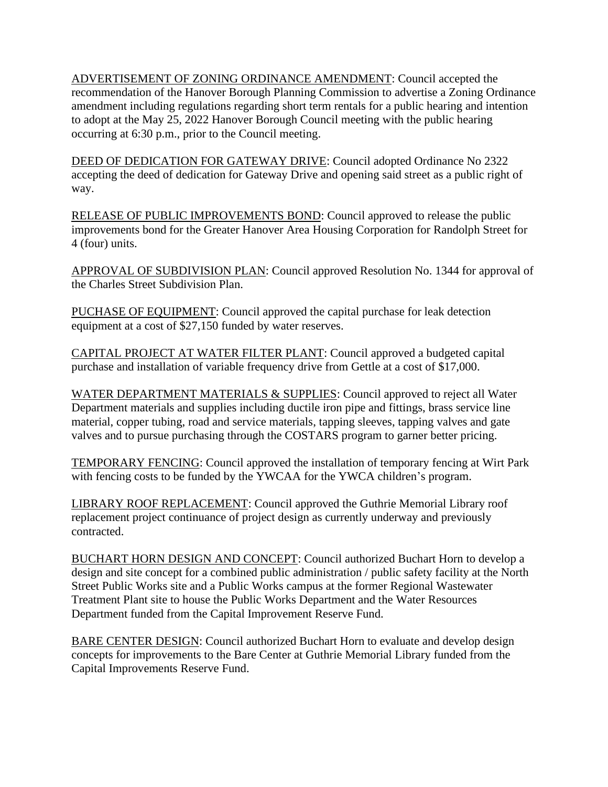ADVERTISEMENT OF ZONING ORDINANCE AMENDMENT: Council accepted the recommendation of the Hanover Borough Planning Commission to advertise a Zoning Ordinance amendment including regulations regarding short term rentals for a public hearing and intention to adopt at the May 25, 2022 Hanover Borough Council meeting with the public hearing occurring at 6:30 p.m., prior to the Council meeting.

DEED OF DEDICATION FOR GATEWAY DRIVE: Council adopted Ordinance No 2322 accepting the deed of dedication for Gateway Drive and opening said street as a public right of way.

RELEASE OF PUBLIC IMPROVEMENTS BOND: Council approved to release the public improvements bond for the Greater Hanover Area Housing Corporation for Randolph Street for 4 (four) units.

APPROVAL OF SUBDIVISION PLAN: Council approved Resolution No. 1344 for approval of the Charles Street Subdivision Plan.

PUCHASE OF EQUIPMENT: Council approved the capital purchase for leak detection equipment at a cost of \$27,150 funded by water reserves.

CAPITAL PROJECT AT WATER FILTER PLANT: Council approved a budgeted capital purchase and installation of variable frequency drive from Gettle at a cost of \$17,000.

WATER DEPARTMENT MATERIALS & SUPPLIES: Council approved to reject all Water Department materials and supplies including ductile iron pipe and fittings, brass service line material, copper tubing, road and service materials, tapping sleeves, tapping valves and gate valves and to pursue purchasing through the COSTARS program to garner better pricing.

TEMPORARY FENCING: Council approved the installation of temporary fencing at Wirt Park with fencing costs to be funded by the YWCAA for the YWCA children's program.

LIBRARY ROOF REPLACEMENT: Council approved the Guthrie Memorial Library roof replacement project continuance of project design as currently underway and previously contracted.

BUCHART HORN DESIGN AND CONCEPT: Council authorized Buchart Horn to develop a design and site concept for a combined public administration / public safety facility at the North Street Public Works site and a Public Works campus at the former Regional Wastewater Treatment Plant site to house the Public Works Department and the Water Resources Department funded from the Capital Improvement Reserve Fund.

BARE CENTER DESIGN: Council authorized Buchart Horn to evaluate and develop design concepts for improvements to the Bare Center at Guthrie Memorial Library funded from the Capital Improvements Reserve Fund.